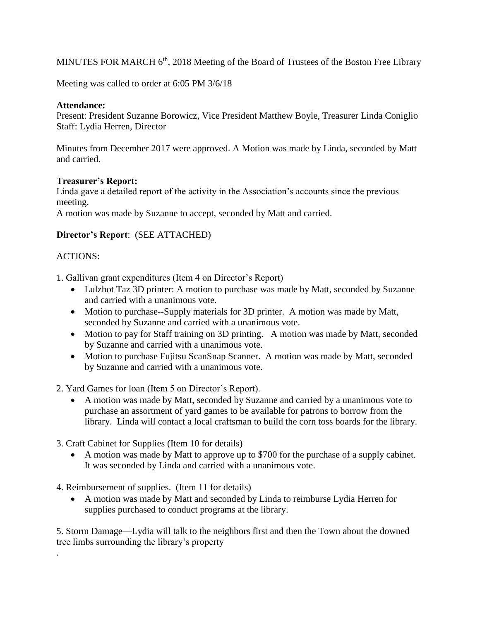MINUTES FOR MARCH  $6<sup>th</sup>$ , 2018 Meeting of the Board of Trustees of the Boston Free Library

Meeting was called to order at 6:05 PM 3/6/18

### **Attendance:**

Present: President Suzanne Borowicz, Vice President Matthew Boyle, Treasurer Linda Coniglio Staff: Lydia Herren, Director

Minutes from December 2017 were approved. A Motion was made by Linda, seconded by Matt and carried.

#### **Treasurer's Report:**

Linda gave a detailed report of the activity in the Association's accounts since the previous meeting.

A motion was made by Suzanne to accept, seconded by Matt and carried.

# **Director's Report**: (SEE ATTACHED)

# ACTIONS:

.

1. Gallivan grant expenditures (Item 4 on Director's Report)

- Lulzbot Taz 3D printer: A motion to purchase was made by Matt, seconded by Suzanne and carried with a unanimous vote.
- Motion to purchase--Supply materials for 3D printer. A motion was made by Matt, seconded by Suzanne and carried with a unanimous vote.
- Motion to pay for Staff training on 3D printing. A motion was made by Matt, seconded by Suzanne and carried with a unanimous vote.
- Motion to purchase Fujitsu ScanSnap Scanner. A motion was made by Matt, seconded by Suzanne and carried with a unanimous vote.

2. Yard Games for loan (Item 5 on Director's Report).

- A motion was made by Matt, seconded by Suzanne and carried by a unanimous vote to purchase an assortment of yard games to be available for patrons to borrow from the library. Linda will contact a local craftsman to build the corn toss boards for the library.
- 3. Craft Cabinet for Supplies (Item 10 for details)
	- A motion was made by Matt to approve up to \$700 for the purchase of a supply cabinet. It was seconded by Linda and carried with a unanimous vote.
- 4. Reimbursement of supplies. (Item 11 for details)
	- A motion was made by Matt and seconded by Linda to reimburse Lydia Herren for supplies purchased to conduct programs at the library.

5. Storm Damage—Lydia will talk to the neighbors first and then the Town about the downed tree limbs surrounding the library's property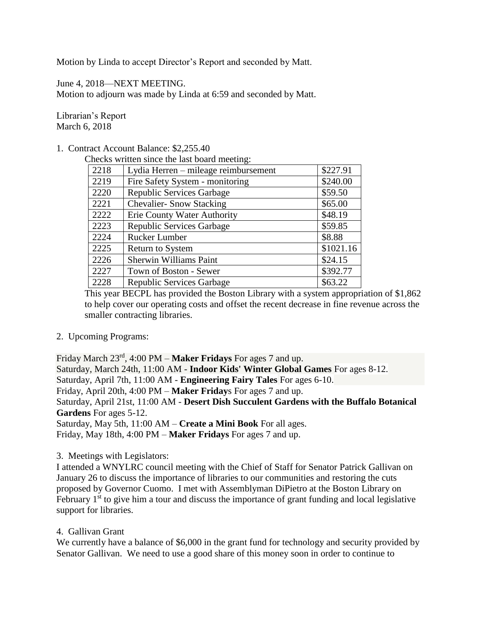Motion by Linda to accept Director's Report and seconded by Matt.

June 4, 2018—NEXT MEETING. Motion to adjourn was made by Linda at 6:59 and seconded by Matt.

Librarian's Report March 6, 2018

#### 1. Contract Account Balance: \$2,255.40

Checks written since the last board meeting:

| 2218 | Lydia Herren – mileage reimbursement | \$227.91  |
|------|--------------------------------------|-----------|
| 2219 | Fire Safety System - monitoring      | \$240.00  |
| 2220 | Republic Services Garbage            | \$59.50   |
| 2221 | <b>Chevalier-Snow Stacking</b>       | \$65.00   |
| 2222 | <b>Erie County Water Authority</b>   | \$48.19   |
| 2223 | Republic Services Garbage            | \$59.85   |
| 2224 | <b>Rucker Lumber</b>                 | \$8.88    |
| 2225 | <b>Return to System</b>              | \$1021.16 |
| 2226 | Sherwin Williams Paint               | \$24.15   |
| 2227 | Town of Boston - Sewer               | \$392.77  |
| 2228 | <b>Republic Services Garbage</b>     | \$63.22   |

This year BECPL has provided the Boston Library with a system appropriation of \$1,862 to help cover our operating costs and offset the recent decrease in fine revenue across the smaller contracting libraries.

2. Upcoming Programs:

Friday March 23rd, 4:00 PM – **Maker Fridays** For ages 7 and up.

Saturday, March 24th, 11:00 AM - **Indoor Kids' Winter Global Games** For ages 8-12. Saturday, April 7th, 11:00 AM - **Engineering Fairy Tales** For ages 6-10. Friday, April 20th, 4:00 PM – **Maker Friday**s For ages 7 and up. Saturday, April 21st, 11:00 AM - **Desert Dish Succulent Gardens with the Buffalo Botanical Gardens** For ages 5-12.

Saturday, May 5th, 11:00 AM – **Create a Mini Book** For all ages. Friday, May 18th, 4:00 PM – **Maker Fridays** For ages 7 and up.

# 3. Meetings with Legislators:

I attended a WNYLRC council meeting with the Chief of Staff for Senator Patrick Gallivan on January 26 to discuss the importance of libraries to our communities and restoring the cuts proposed by Governor Cuomo. I met with Assemblyman DiPietro at the Boston Library on February  $1<sup>st</sup>$  to give him a tour and discuss the importance of grant funding and local legislative support for libraries.

4. Gallivan Grant

We currently have a balance of \$6,000 in the grant fund for technology and security provided by Senator Gallivan. We need to use a good share of this money soon in order to continue to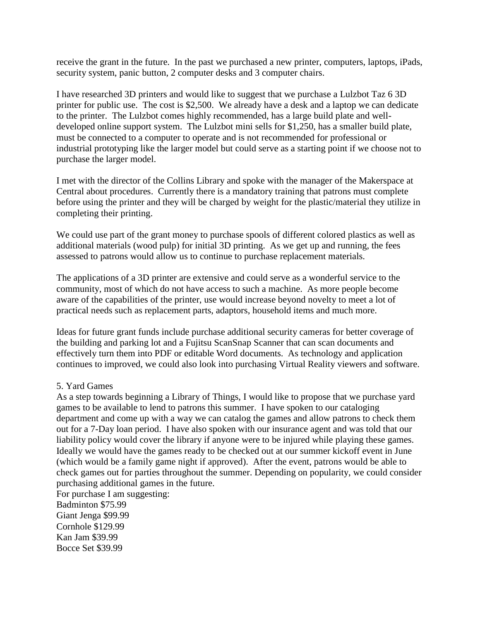receive the grant in the future. In the past we purchased a new printer, computers, laptops, iPads, security system, panic button, 2 computer desks and 3 computer chairs.

I have researched 3D printers and would like to suggest that we purchase a Lulzbot Taz 6 3D printer for public use. The cost is \$2,500. We already have a desk and a laptop we can dedicate to the printer. The Lulzbot comes highly recommended, has a large build plate and welldeveloped online support system. The Lulzbot mini sells for \$1,250, has a smaller build plate, must be connected to a computer to operate and is not recommended for professional or industrial prototyping like the larger model but could serve as a starting point if we choose not to purchase the larger model.

I met with the director of the Collins Library and spoke with the manager of the Makerspace at Central about procedures. Currently there is a mandatory training that patrons must complete before using the printer and they will be charged by weight for the plastic/material they utilize in completing their printing.

We could use part of the grant money to purchase spools of different colored plastics as well as additional materials (wood pulp) for initial 3D printing. As we get up and running, the fees assessed to patrons would allow us to continue to purchase replacement materials.

The applications of a 3D printer are extensive and could serve as a wonderful service to the community, most of which do not have access to such a machine. As more people become aware of the capabilities of the printer, use would increase beyond novelty to meet a lot of practical needs such as replacement parts, adaptors, household items and much more.

Ideas for future grant funds include purchase additional security cameras for better coverage of the building and parking lot and a Fujitsu ScanSnap Scanner that can scan documents and effectively turn them into PDF or editable Word documents. As technology and application continues to improved, we could also look into purchasing Virtual Reality viewers and software.

#### 5. Yard Games

As a step towards beginning a Library of Things, I would like to propose that we purchase yard games to be available to lend to patrons this summer. I have spoken to our cataloging department and come up with a way we can catalog the games and allow patrons to check them out for a 7-Day loan period. I have also spoken with our insurance agent and was told that our liability policy would cover the library if anyone were to be injured while playing these games. Ideally we would have the games ready to be checked out at our summer kickoff event in June (which would be a family game night if approved). After the event, patrons would be able to check games out for parties throughout the summer. Depending on popularity, we could consider purchasing additional games in the future.

For purchase I am suggesting: Badminton \$75.99 Giant Jenga \$99.99 Cornhole \$129.99 Kan Jam \$39.99 Bocce Set \$39.99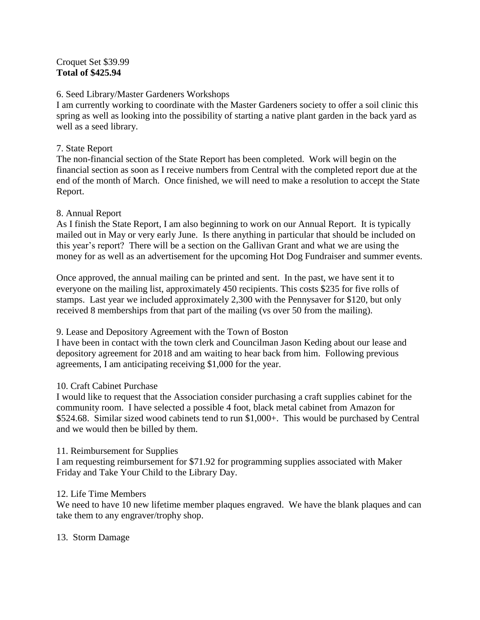### Croquet Set \$39.99 **Total of \$425.94**

### 6. Seed Library/Master Gardeners Workshops

I am currently working to coordinate with the Master Gardeners society to offer a soil clinic this spring as well as looking into the possibility of starting a native plant garden in the back yard as well as a seed library.

### 7. State Report

The non-financial section of the State Report has been completed. Work will begin on the financial section as soon as I receive numbers from Central with the completed report due at the end of the month of March. Once finished, we will need to make a resolution to accept the State Report.

#### 8. Annual Report

As I finish the State Report, I am also beginning to work on our Annual Report. It is typically mailed out in May or very early June. Is there anything in particular that should be included on this year's report? There will be a section on the Gallivan Grant and what we are using the money for as well as an advertisement for the upcoming Hot Dog Fundraiser and summer events.

Once approved, the annual mailing can be printed and sent. In the past, we have sent it to everyone on the mailing list, approximately 450 recipients. This costs \$235 for five rolls of stamps. Last year we included approximately 2,300 with the Pennysaver for \$120, but only received 8 memberships from that part of the mailing (vs over 50 from the mailing).

#### 9. Lease and Depository Agreement with the Town of Boston

I have been in contact with the town clerk and Councilman Jason Keding about our lease and depository agreement for 2018 and am waiting to hear back from him. Following previous agreements, I am anticipating receiving \$1,000 for the year.

# 10. Craft Cabinet Purchase

I would like to request that the Association consider purchasing a craft supplies cabinet for the community room. I have selected a possible 4 foot, black metal cabinet from Amazon for \$524.68. Similar sized wood cabinets tend to run \$1,000+. This would be purchased by Central and we would then be billed by them.

#### 11. Reimbursement for Supplies

I am requesting reimbursement for \$71.92 for programming supplies associated with Maker Friday and Take Your Child to the Library Day.

#### 12. Life Time Members

We need to have 10 new lifetime member plaques engraved. We have the blank plaques and can take them to any engraver/trophy shop.

# 13. Storm Damage